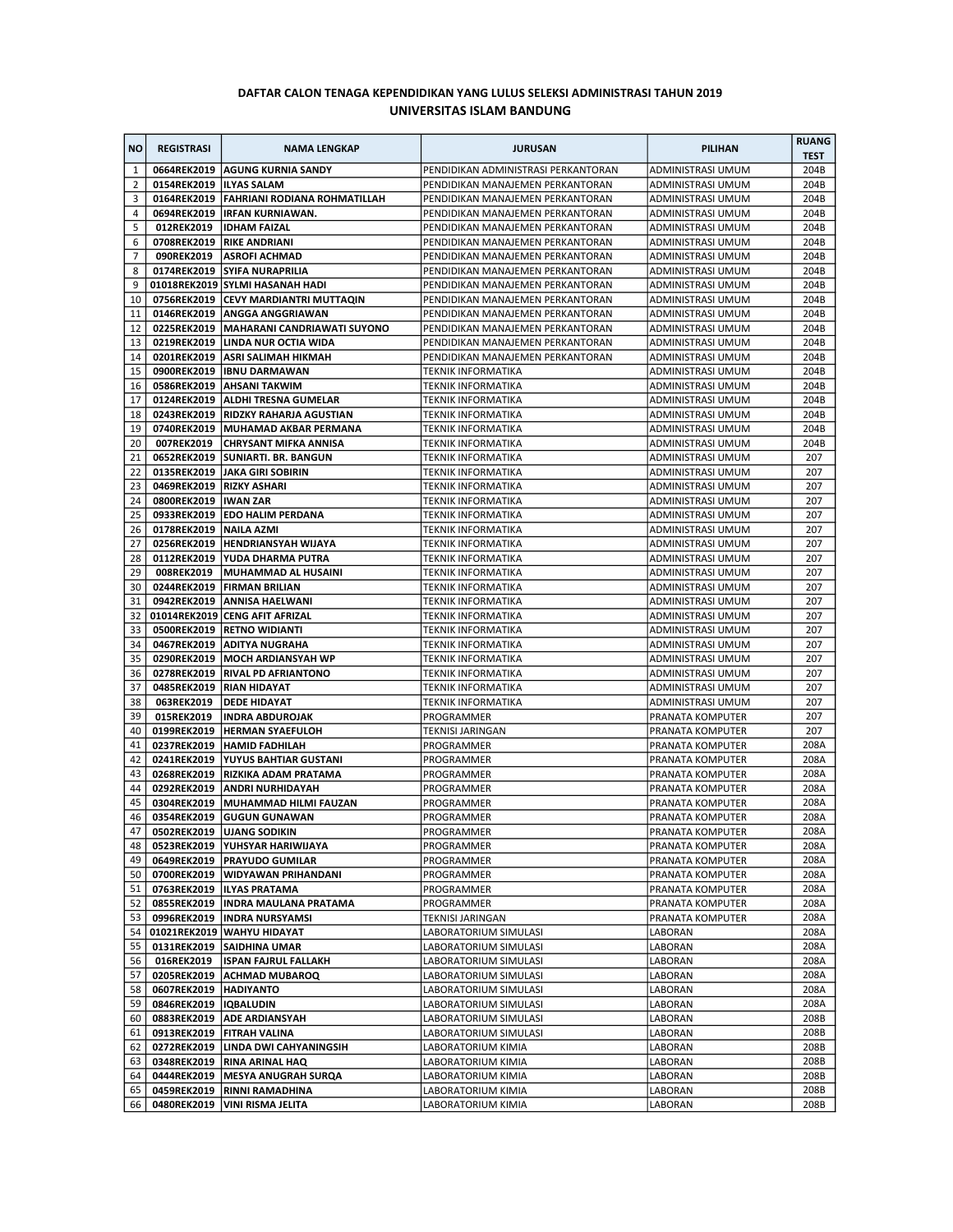## DAFTAR CALON TENAGA KEPENDIDIKAN YANG LULUS SELEKSI ADMINISTRASI TAHUN 2019 UNIVERSITAS ISLAM BANDUNG

| <b>NO</b>           | <b>REGISTRASI</b>          | <b>NAMA LENGKAP</b>                                                 | <b>JURUSAN</b>                                                       | <b>PILIHAN</b>                                | <b>RUANG</b><br><b>TEST</b> |
|---------------------|----------------------------|---------------------------------------------------------------------|----------------------------------------------------------------------|-----------------------------------------------|-----------------------------|
| $\mathbf{1}$        |                            | 0664REK2019   AGUNG KURNIA SANDY                                    | PENDIDIKAN ADMINISTRASI PERKANTORAN                                  | ADMINISTRASI UMUM                             | 204B                        |
| 2                   | 0154REK2019   ILYAS SALAM  |                                                                     | PENDIDIKAN MANAJEMEN PERKANTORAN                                     | ADMINISTRASI UMUM                             | 204B                        |
| 3                   |                            | 0164REK2019   FAHRIANI RODIANA ROHMATILLAH                          | PENDIDIKAN MANAJEMEN PERKANTORAN                                     | ADMINISTRASI UMUM                             | 204B                        |
| 4                   |                            | 0694REK2019   IRFAN KURNIAWAN.                                      | PENDIDIKAN MANAJEMEN PERKANTORAN                                     | <b>ADMINISTRASI UMUM</b>                      | 204B                        |
| 5                   | 012REK2019                 | <b>IDHAM FAIZAL</b>                                                 | PENDIDIKAN MANAJEMEN PERKANTORAN<br>PENDIDIKAN MANAJEMEN PERKANTORAN | ADMINISTRASI UMUM<br><b>ADMINISTRASI UMUM</b> | 204B                        |
| 6<br>$\overline{7}$ | 090REK2019                 | 0708REK2019   RIKE ANDRIANI<br><b>ASROFI ACHMAD</b>                 | PENDIDIKAN MANAJEMEN PERKANTORAN                                     | ADMINISTRASI UMUM                             | 204B<br>204B                |
| 8                   |                            | 0174REK2019 SYIFA NURAPRILIA                                        | PENDIDIKAN MANAJEMEN PERKANTORAN                                     | ADMINISTRASI UMUM                             | 204B                        |
| 9                   |                            | 01018REK2019 SYLMI HASANAH HADI                                     | PENDIDIKAN MANAJEMEN PERKANTORAN                                     | ADMINISTRASI UMUM                             | 204B                        |
| 10                  |                            | 0756REK2019 CEVY MARDIANTRI MUTTAQIN                                | PENDIDIKAN MANAJEMEN PERKANTORAN                                     | <b>ADMINISTRASI UMUM</b>                      | 204B                        |
| 11                  |                            | 0146REK2019   ANGGA ANGGRIAWAN                                      | PENDIDIKAN MANAJEMEN PERKANTORAN                                     | ADMINISTRASI UMUM                             | 204B                        |
| 12                  |                            | 0225REK2019   MAHARANI CANDRIAWATI SUYONO                           | PENDIDIKAN MANAJEMEN PERKANTORAN                                     | ADMINISTRASI UMUM                             | 204B                        |
| 13                  |                            | 0219REK2019 LINDA NUR OCTIA WIDA                                    | PENDIDIKAN MANAJEMEN PERKANTORAN                                     | ADMINISTRASI UMUM                             | 204B                        |
| 14                  |                            | 0201REK2019   ASRI SALIMAH HIKMAH                                   | PENDIDIKAN MANAJEMEN PERKANTORAN                                     | ADMINISTRASI UMUM                             | 204B                        |
| 15                  |                            | 0900REK2019   IBNU DARMAWAN                                         | <b>TEKNIK INFORMATIKA</b>                                            | ADMINISTRASI UMUM                             | 204B                        |
| 16                  |                            | 0586REK2019   AHSANI TAKWIM                                         | <b>TEKNIK INFORMATIKA</b>                                            | ADMINISTRASI UMUM                             | 204B                        |
| 17                  |                            | 0124REK2019   ALDHI TRESNA GUMELAR                                  | <b>TEKNIK INFORMATIKA</b>                                            | ADMINISTRASI UMUM                             | 204B                        |
| 18                  |                            | 0243REK2019   RIDZKY RAHARJA AGUSTIAN                               | <b>TEKNIK INFORMATIKA</b>                                            | ADMINISTRASI UMUM                             | 204B                        |
| 19                  |                            | 0740REK2019   MUHAMAD AKBAR PERMANA<br><b>CHRYSANT MIFKA ANNISA</b> | <b>TEKNIK INFORMATIKA</b>                                            | ADMINISTRASI UMUM                             | 204B                        |
| 20<br>21            | 007REK2019                 | 0652REK2019   SUNIARTI. BR. BANGUN                                  | <b>TEKNIK INFORMATIKA</b><br><b>TEKNIK INFORMATIKA</b>               | ADMINISTRASI UMUM<br>ADMINISTRASI UMUM        | 204B<br>207                 |
| 22                  |                            | 0135REK2019 JAKA GIRI SOBIRIN                                       | <b>TEKNIK INFORMATIKA</b>                                            | <b>ADMINISTRASI UMUM</b>                      | 207                         |
| 23                  | 0469REK2019   RIZKY ASHARI |                                                                     | <b>TEKNIK INFORMATIKA</b>                                            | ADMINISTRASI UMUM                             | 207                         |
| 24                  | 0800REK2019   IWAN ZAR     |                                                                     | <b>TEKNIK INFORMATIKA</b>                                            | ADMINISTRASI UMUM                             | 207                         |
| 25                  |                            | 0933REK2019   EDO HALIM PERDANA                                     | <b>TEKNIK INFORMATIKA</b>                                            | ADMINISTRASI UMUM                             | 207                         |
| 26                  | 0178REK2019   NAILA AZMI   |                                                                     | <b>TEKNIK INFORMATIKA</b>                                            | ADMINISTRASI UMUM                             | 207                         |
| 27                  |                            | 0256REK2019  HENDRIANSYAH WIJAYA                                    | <b>TEKNIK INFORMATIKA</b>                                            | ADMINISTRASI UMUM                             | 207                         |
| 28                  |                            | 0112REK2019   YUDA DHARMA PUTRA                                     | <b>TEKNIK INFORMATIKA</b>                                            | ADMINISTRASI UMUM                             | 207                         |
| 29                  | 008REK2019                 | MUHAMMAD AL HUSAINI                                                 | <b>TEKNIK INFORMATIKA</b>                                            | ADMINISTRASI UMUM                             | 207                         |
| 30                  |                            | 0244REK2019   FIRMAN BRILIAN                                        | <b>TEKNIK INFORMATIKA</b>                                            | ADMINISTRASI UMUM                             | 207                         |
| 31                  |                            | 0942REK2019 ANNISA HAELWANI                                         | <b>TEKNIK INFORMATIKA</b>                                            | ADMINISTRASI UMUM                             | 207                         |
| 32                  |                            | 01014REK2019 CENG AFIT AFRIZAL                                      | <b>TEKNIK INFORMATIKA</b>                                            | ADMINISTRASI UMUM                             | 207                         |
| 33                  | 0500REK2019                | <b>RETNO WIDIANTI</b>                                               | <b>TEKNIK INFORMATIKA</b>                                            | ADMINISTRASI UMUM                             | 207                         |
| 34                  |                            | 0467REK2019   ADITYA NUGRAHA                                        | TEKNIK INFORMATIKA                                                   | ADMINISTRASI UMUM                             | 207                         |
| 35                  |                            | 0290REK2019   MOCH ARDIANSYAH WP                                    | <b>TEKNIK INFORMATIKA</b>                                            | ADMINISTRASI UMUM                             | 207                         |
| 36<br>37            |                            | 0278REK2019   RIVAL PD AFRIANTONO<br>0485REK2019   RIAN HIDAYAT     | TEKNIK INFORMATIKA<br><b>TEKNIK INFORMATIKA</b>                      | ADMINISTRASI UMUM<br>ADMINISTRASI UMUM        | 207<br>207                  |
| 38                  | 063REK2019                 | <b>DEDE HIDAYAT</b>                                                 | <b>TEKNIK INFORMATIKA</b>                                            | ADMINISTRASI UMUM                             | 207                         |
| 39                  | 015REK2019                 | <b>INDRA ABDUROJAK</b>                                              | PROGRAMMER                                                           | PRANATA KOMPUTER                              | 207                         |
| 40                  |                            | 0199REK2019  HERMAN SYAEFULOH                                       | <b>TEKNISI JARINGAN</b>                                              | PRANATA KOMPUTER                              | 207                         |
| 41                  |                            | 0237REK2019  HAMID FADHILAH                                         | PROGRAMMER                                                           | PRANATA KOMPUTER                              | 208A                        |
| 42                  |                            | 0241REK2019   YUYUS BAHTIAR GUSTANI                                 | PROGRAMMER                                                           | PRANATA KOMPUTER                              | 208A                        |
| 43                  |                            | 0268REK2019   RIZKIKA ADAM PRATAMA                                  | PROGRAMMER                                                           | PRANATA KOMPUTER                              | 208A                        |
| 44                  | 0292REK2019                | <b>ANDRI NURHIDAYAH</b>                                             | PROGRAMMER                                                           | PRANATA KOMPUTER                              | 208A                        |
| 45                  | 0304REK2019                | MUHAMMAD HILMI FAUZAN                                               | PROGRAMMER                                                           | PRANATA KOMPUTER                              | 208A                        |
| 46                  | 0354REK2019                | <b>GUGUN GUNAWAN</b>                                                | PROGRAMMER                                                           | PRANATA KOMPUTER                              | 208A                        |
|                     |                            | 47 0502REK2019 UJANG SODIKIN                                        | PROGRAMMER                                                           | PRANATA KOMPUTER                              | 208A                        |
|                     |                            | 48   0523REK2019   YUHSYAR HARIWIJAYA                               | PROGRAMMER                                                           | PRANATA KOMPUTER                              | 208A                        |
| 49                  |                            | 0649REK2019   PRAYUDO GUMILAR                                       | PROGRAMMER                                                           | PRANATA KOMPUTER                              | 208A                        |
| 50 <sub>1</sub>     |                            | 0700REK2019   WIDYAWAN PRIHANDANI                                   | PROGRAMMER                                                           | PRANATA KOMPUTER                              | 208A                        |
| 51<br>52            |                            | 0763REK2019  ILYAS PRATAMA<br>0855REK2019   INDRA MAULANA PRATAMA   | PROGRAMMER                                                           | PRANATA KOMPUTER<br>PRANATA KOMPUTER          | 208A<br>208A                |
| 53                  |                            | 0996REK2019  INDRA NURSYAMSI                                        | PROGRAMMER<br><b>TEKNISI JARINGAN</b>                                | PRANATA KOMPUTER                              | 208A                        |
| 54                  |                            | 01021REK2019 WAHYU HIDAYAT                                          | LABORATORIUM SIMULASI                                                | LABORAN                                       | 208A                        |
| 55                  |                            | 0131REK2019 SAIDHINA UMAR                                           | LABORATORIUM SIMULASI                                                | LABORAN                                       | 208A                        |
| 56                  | 016REK2019                 | <b>ISPAN FAJRUL FALLAKH</b>                                         | LABORATORIUM SIMULASI                                                | LABORAN                                       | 208A                        |
| 57                  |                            | 0205REK2019 ACHMAD MUBAROQ                                          | LABORATORIUM SIMULASI                                                | LABORAN                                       | 208A                        |
| 58                  | 0607REK2019  HADIYANTO     |                                                                     | LABORATORIUM SIMULASI                                                | LABORAN                                       | 208A                        |
| 59                  | 0846REK2019  IQBALUDIN     |                                                                     | LABORATORIUM SIMULASI                                                | LABORAN                                       | 208A                        |
| 60                  |                            | 0883REK2019 ADE ARDIANSYAH                                          | LABORATORIUM SIMULASI                                                | LABORAN                                       | 208B                        |
| 61                  |                            | 0913REK2019   FITRAH VALINA                                         | LABORATORIUM SIMULASI                                                | LABORAN                                       | 208B                        |
| 62                  |                            | 0272REK2019   LINDA DWI CAHYANINGSIH                                | LABORATORIUM KIMIA                                                   | LABORAN                                       | 208B                        |
| 63                  |                            | 0348REK2019   RINA ARINAL HAQ                                       | LABORATORIUM KIMIA                                                   | LABORAN                                       | 208B                        |
| 64                  |                            | 0444REK2019   MESYA ANUGRAH SURQA                                   | LABORATORIUM KIMIA                                                   | LABORAN                                       | 208B                        |
| 65                  |                            | 0459REK2019   RINNI RAMADHINA                                       | LABORATORIUM KIMIA                                                   | LABORAN                                       | 208B                        |
| 66                  |                            | 0480REK2019   VINI RISMA JELITA                                     | LABORATORIUM KIMIA                                                   | LABORAN                                       | 208B                        |